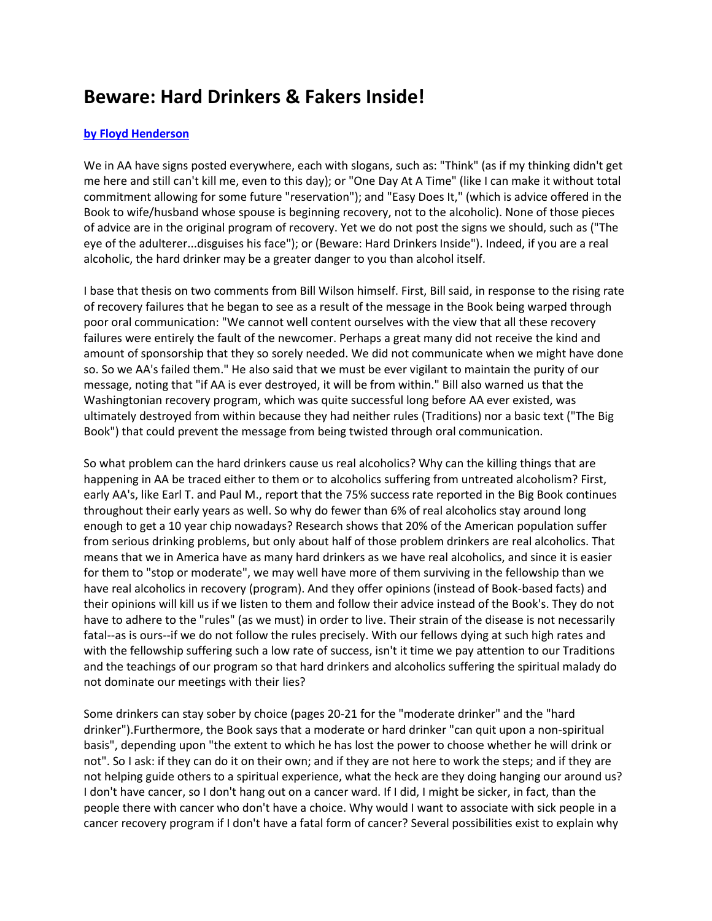## **Beware: Hard Drinkers & Fakers Inside!**

## **[by Floyd Henderson](http://www.floydhenderson.com/)**

We in AA have signs posted everywhere, each with slogans, such as: "Think" (as if my thinking didn't get me here and still can't kill me, even to this day); or "One Day At A Time" (like I can make it without total commitment allowing for some future "reservation"); and "Easy Does It," (which is advice offered in the Book to wife/husband whose spouse is beginning recovery, not to the alcoholic). None of those pieces of advice are in the original program of recovery. Yet we do not post the signs we should, such as ("The eye of the adulterer...disguises his face"); or (Beware: Hard Drinkers Inside"). Indeed, if you are a real alcoholic, the hard drinker may be a greater danger to you than alcohol itself.

I base that thesis on two comments from Bill Wilson himself. First, Bill said, in response to the rising rate of recovery failures that he began to see as a result of the message in the Book being warped through poor oral communication: "We cannot well content ourselves with the view that all these recovery failures were entirely the fault of the newcomer. Perhaps a great many did not receive the kind and amount of sponsorship that they so sorely needed. We did not communicate when we might have done so. So we AA's failed them." He also said that we must be ever vigilant to maintain the purity of our message, noting that "if AA is ever destroyed, it will be from within." Bill also warned us that the Washingtonian recovery program, which was quite successful long before AA ever existed, was ultimately destroyed from within because they had neither rules (Traditions) nor a basic text ("The Big Book") that could prevent the message from being twisted through oral communication.

So what problem can the hard drinkers cause us real alcoholics? Why can the killing things that are happening in AA be traced either to them or to alcoholics suffering from untreated alcoholism? First, early AA's, like Earl T. and Paul M., report that the 75% success rate reported in the Big Book continues throughout their early years as well. So why do fewer than 6% of real alcoholics stay around long enough to get a 10 year chip nowadays? Research shows that 20% of the American population suffer from serious drinking problems, but only about half of those problem drinkers are real alcoholics. That means that we in America have as many hard drinkers as we have real alcoholics, and since it is easier for them to "stop or moderate", we may well have more of them surviving in the fellowship than we have real alcoholics in recovery (program). And they offer opinions (instead of Book-based facts) and their opinions will kill us if we listen to them and follow their advice instead of the Book's. They do not have to adhere to the "rules" (as we must) in order to live. Their strain of the disease is not necessarily fatal--as is ours--if we do not follow the rules precisely. With our fellows dying at such high rates and with the fellowship suffering such a low rate of success, isn't it time we pay attention to our Traditions and the teachings of our program so that hard drinkers and alcoholics suffering the spiritual malady do not dominate our meetings with their lies?

Some drinkers can stay sober by choice (pages 20-21 for the "moderate drinker" and the "hard drinker").Furthermore, the Book says that a moderate or hard drinker "can quit upon a non-spiritual basis", depending upon "the extent to which he has lost the power to choose whether he will drink or not". So I ask: if they can do it on their own; and if they are not here to work the steps; and if they are not helping guide others to a spiritual experience, what the heck are they doing hanging our around us? I don't have cancer, so I don't hang out on a cancer ward. If I did, I might be sicker, in fact, than the people there with cancer who don't have a choice. Why would I want to associate with sick people in a cancer recovery program if I don't have a fatal form of cancer? Several possibilities exist to explain why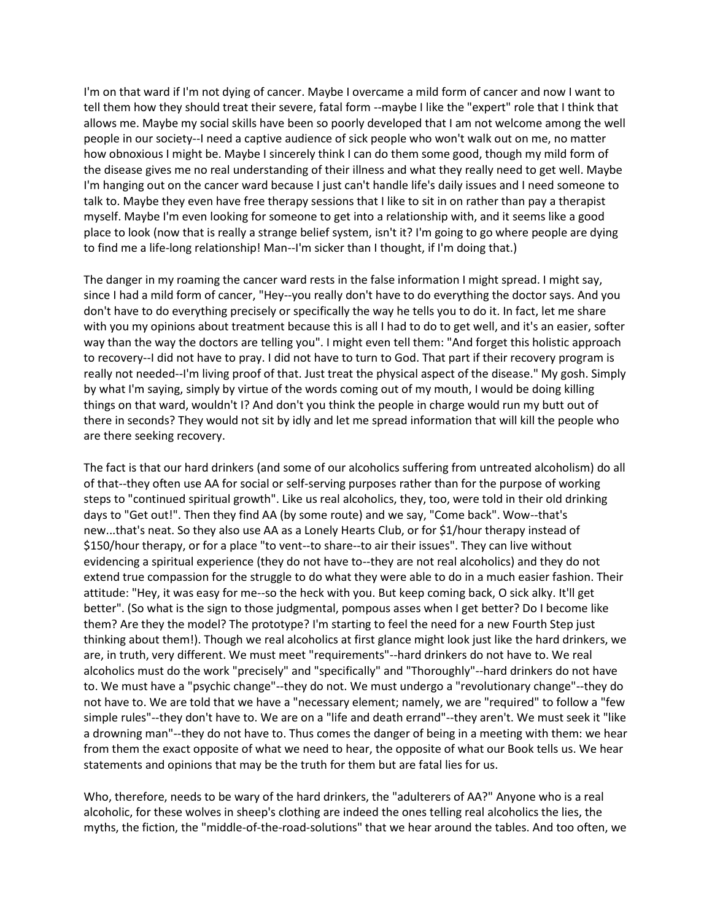I'm on that ward if I'm not dying of cancer. Maybe I overcame a mild form of cancer and now I want to tell them how they should treat their severe, fatal form --maybe I like the "expert" role that I think that allows me. Maybe my social skills have been so poorly developed that I am not welcome among the well people in our society--I need a captive audience of sick people who won't walk out on me, no matter how obnoxious I might be. Maybe I sincerely think I can do them some good, though my mild form of the disease gives me no real understanding of their illness and what they really need to get well. Maybe I'm hanging out on the cancer ward because I just can't handle life's daily issues and I need someone to talk to. Maybe they even have free therapy sessions that I like to sit in on rather than pay a therapist myself. Maybe I'm even looking for someone to get into a relationship with, and it seems like a good place to look (now that is really a strange belief system, isn't it? I'm going to go where people are dying to find me a life-long relationship! Man--I'm sicker than I thought, if I'm doing that.)

The danger in my roaming the cancer ward rests in the false information I might spread. I might say, since I had a mild form of cancer, "Hey--you really don't have to do everything the doctor says. And you don't have to do everything precisely or specifically the way he tells you to do it. In fact, let me share with you my opinions about treatment because this is all I had to do to get well, and it's an easier, softer way than the way the doctors are telling you". I might even tell them: "And forget this holistic approach to recovery--I did not have to pray. I did not have to turn to God. That part if their recovery program is really not needed--I'm living proof of that. Just treat the physical aspect of the disease." My gosh. Simply by what I'm saying, simply by virtue of the words coming out of my mouth, I would be doing killing things on that ward, wouldn't I? And don't you think the people in charge would run my butt out of there in seconds? They would not sit by idly and let me spread information that will kill the people who are there seeking recovery.

The fact is that our hard drinkers (and some of our alcoholics suffering from untreated alcoholism) do all of that--they often use AA for social or self-serving purposes rather than for the purpose of working steps to "continued spiritual growth". Like us real alcoholics, they, too, were told in their old drinking days to "Get out!". Then they find AA (by some route) and we say, "Come back". Wow--that's new...that's neat. So they also use AA as a Lonely Hearts Club, or for \$1/hour therapy instead of \$150/hour therapy, or for a place "to vent--to share--to air their issues". They can live without evidencing a spiritual experience (they do not have to--they are not real alcoholics) and they do not extend true compassion for the struggle to do what they were able to do in a much easier fashion. Their attitude: "Hey, it was easy for me--so the heck with you. But keep coming back, O sick alky. It'll get better". (So what is the sign to those judgmental, pompous asses when I get better? Do I become like them? Are they the model? The prototype? I'm starting to feel the need for a new Fourth Step just thinking about them!). Though we real alcoholics at first glance might look just like the hard drinkers, we are, in truth, very different. We must meet "requirements"--hard drinkers do not have to. We real alcoholics must do the work "precisely" and "specifically" and "Thoroughly"--hard drinkers do not have to. We must have a "psychic change"--they do not. We must undergo a "revolutionary change"--they do not have to. We are told that we have a "necessary element; namely, we are "required" to follow a "few simple rules"--they don't have to. We are on a "life and death errand"--they aren't. We must seek it "like a drowning man"--they do not have to. Thus comes the danger of being in a meeting with them: we hear from them the exact opposite of what we need to hear, the opposite of what our Book tells us. We hear statements and opinions that may be the truth for them but are fatal lies for us.

Who, therefore, needs to be wary of the hard drinkers, the "adulterers of AA?" Anyone who is a real alcoholic, for these wolves in sheep's clothing are indeed the ones telling real alcoholics the lies, the myths, the fiction, the "middle-of-the-road-solutions" that we hear around the tables. And too often, we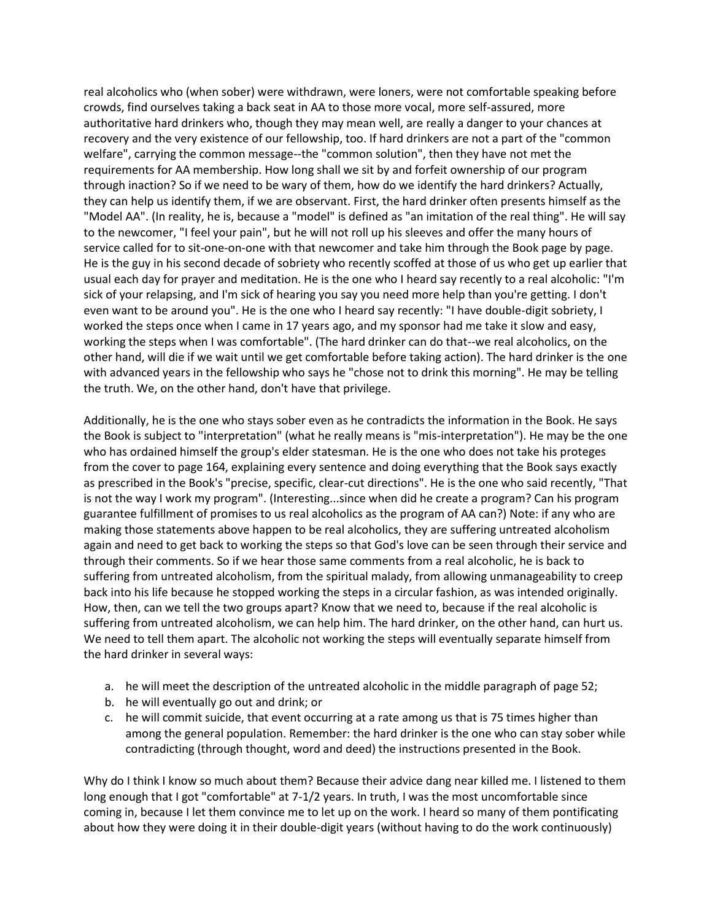real alcoholics who (when sober) were withdrawn, were loners, were not comfortable speaking before crowds, find ourselves taking a back seat in AA to those more vocal, more self-assured, more authoritative hard drinkers who, though they may mean well, are really a danger to your chances at recovery and the very existence of our fellowship, too. If hard drinkers are not a part of the "common welfare", carrying the common message--the "common solution", then they have not met the requirements for AA membership. How long shall we sit by and forfeit ownership of our program through inaction? So if we need to be wary of them, how do we identify the hard drinkers? Actually, they can help us identify them, if we are observant. First, the hard drinker often presents himself as the "Model AA". (In reality, he is, because a "model" is defined as "an imitation of the real thing". He will say to the newcomer, "I feel your pain", but he will not roll up his sleeves and offer the many hours of service called for to sit-one-on-one with that newcomer and take him through the Book page by page. He is the guy in his second decade of sobriety who recently scoffed at those of us who get up earlier that usual each day for prayer and meditation. He is the one who I heard say recently to a real alcoholic: "I'm sick of your relapsing, and I'm sick of hearing you say you need more help than you're getting. I don't even want to be around you". He is the one who I heard say recently: "I have double-digit sobriety, I worked the steps once when I came in 17 years ago, and my sponsor had me take it slow and easy, working the steps when I was comfortable". (The hard drinker can do that--we real alcoholics, on the other hand, will die if we wait until we get comfortable before taking action). The hard drinker is the one with advanced years in the fellowship who says he "chose not to drink this morning". He may be telling the truth. We, on the other hand, don't have that privilege.

Additionally, he is the one who stays sober even as he contradicts the information in the Book. He says the Book is subject to "interpretation" (what he really means is "mis-interpretation"). He may be the one who has ordained himself the group's elder statesman. He is the one who does not take his proteges from the cover to page 164, explaining every sentence and doing everything that the Book says exactly as prescribed in the Book's "precise, specific, clear-cut directions". He is the one who said recently, "That is not the way I work my program". (Interesting...since when did he create a program? Can his program guarantee fulfillment of promises to us real alcoholics as the program of AA can?) Note: if any who are making those statements above happen to be real alcoholics, they are suffering untreated alcoholism again and need to get back to working the steps so that God's love can be seen through their service and through their comments. So if we hear those same comments from a real alcoholic, he is back to suffering from untreated alcoholism, from the spiritual malady, from allowing unmanageability to creep back into his life because he stopped working the steps in a circular fashion, as was intended originally. How, then, can we tell the two groups apart? Know that we need to, because if the real alcoholic is suffering from untreated alcoholism, we can help him. The hard drinker, on the other hand, can hurt us. We need to tell them apart. The alcoholic not working the steps will eventually separate himself from the hard drinker in several ways:

- a. he will meet the description of the untreated alcoholic in the middle paragraph of page 52;
- b. he will eventually go out and drink; or
- c. he will commit suicide, that event occurring at a rate among us that is 75 times higher than among the general population. Remember: the hard drinker is the one who can stay sober while contradicting (through thought, word and deed) the instructions presented in the Book.

Why do I think I know so much about them? Because their advice dang near killed me. I listened to them long enough that I got "comfortable" at 7-1/2 years. In truth, I was the most uncomfortable since coming in, because I let them convince me to let up on the work. I heard so many of them pontificating about how they were doing it in their double-digit years (without having to do the work continuously)